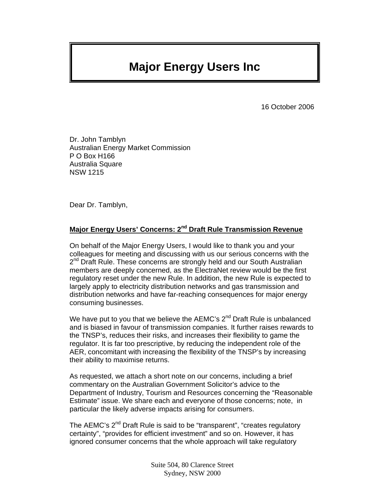# **Major Energy Users Inc**

16 October 2006

Dr. John Tamblyn Australian Energy Market Commission P O Box H166 Australia Square NSW 1215

Dear Dr. Tamblyn,

# **Major Energy Users' Concerns: 2nd Draft Rule Transmission Revenue**

On behalf of the Major Energy Users, I would like to thank you and your colleagues for meeting and discussing with us our serious concerns with the  $2^{nd}$  Draft Rule. These concerns are strongly held and our South Australian members are deeply concerned, as the ElectraNet review would be the first regulatory reset under the new Rule. In addition, the new Rule is expected to largely apply to electricity distribution networks and gas transmission and distribution networks and have far-reaching consequences for major energy consuming businesses.

We have put to you that we believe the AEMC's  $2^{nd}$  Draft Rule is unbalanced and is biased in favour of transmission companies. It further raises rewards to the TNSP's, reduces their risks, and increases their flexibility to game the regulator. It is far too prescriptive, by reducing the independent role of the AER, concomitant with increasing the flexibility of the TNSP's by increasing their ability to maximise returns.

As requested, we attach a short note on our concerns, including a brief commentary on the Australian Government Solicitor's advice to the Department of Industry, Tourism and Resources concerning the "Reasonable Estimate" issue. We share each and everyone of those concerns; note, in particular the likely adverse impacts arising for consumers.

The AEMC's 2<sup>nd</sup> Draft Rule is said to be "transparent", "creates regulatory certainty", "provides for efficient investment" and so on. However, it has ignored consumer concerns that the whole approach will take regulatory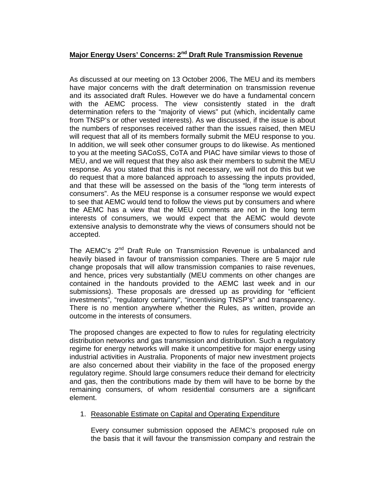# **Major Energy Users' Concerns: 2nd Draft Rule Transmission Revenue**

As discussed at our meeting on 13 October 2006, The MEU and its members have major concerns with the draft determination on transmission revenue and its associated draft Rules. However we do have a fundamental concern with the AEMC process. The view consistently stated in the draft determination refers to the "majority of views" put (which, incidentally came from TNSP's or other vested interests). As we discussed, if the issue is about the numbers of responses received rather than the issues raised, then MEU will request that all of its members formally submit the MEU response to you. In addition, we will seek other consumer groups to do likewise. As mentioned to you at the meeting SACoSS, CoTA and PIAC have similar views to those of MEU, and we will request that they also ask their members to submit the MEU response. As you stated that this is not necessary, we will not do this but we do request that a more balanced approach to assessing the inputs provided, and that these will be assessed on the basis of the "long term interests of consumers". As the MEU response is a consumer response we would expect to see that AEMC would tend to follow the views put by consumers and where the AEMC has a view that the MEU comments are not in the long term interests of consumers, we would expect that the AEMC would devote extensive analysis to demonstrate why the views of consumers should not be accepted.

The AEMC's 2<sup>nd</sup> Draft Rule on Transmission Revenue is unbalanced and heavily biased in favour of transmission companies. There are 5 major rule change proposals that will allow transmission companies to raise revenues, and hence, prices very substantially (MEU comments on other changes are contained in the handouts provided to the AEMC last week and in our submissions). These proposals are dressed up as providing for "efficient investments", "regulatory certainty", "incentivising TNSP's" and transparency. There is no mention anywhere whether the Rules, as written, provide an outcome in the interests of consumers.

The proposed changes are expected to flow to rules for regulating electricity distribution networks and gas transmission and distribution. Such a regulatory regime for energy networks will make it uncompetitive for major energy using industrial activities in Australia. Proponents of major new investment projects are also concerned about their viability in the face of the proposed energy regulatory regime. Should large consumers reduce their demand for electricity and gas, then the contributions made by them will have to be borne by the remaining consumers, of whom residential consumers are a significant element.

1. Reasonable Estimate on Capital and Operating Expenditure

Every consumer submission opposed the AEMC's proposed rule on the basis that it will favour the transmission company and restrain the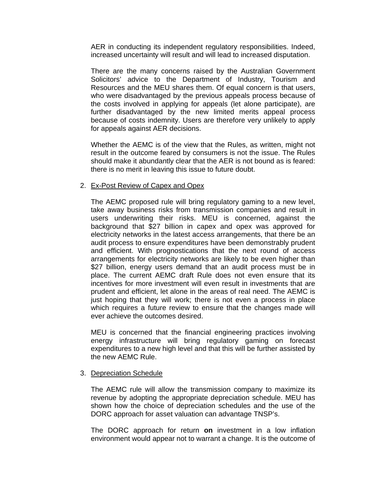AER in conducting its independent regulatory responsibilities. Indeed, increased uncertainty will result and will lead to increased disputation.

There are the many concerns raised by the Australian Government Solicitors' advice to the Department of Industry, Tourism and Resources and the MEU shares them. Of equal concern is that users, who were disadvantaged by the previous appeals process because of the costs involved in applying for appeals (let alone participate), are further disadvantaged by the new limited merits appeal process because of costs indemnity. Users are therefore very unlikely to apply for appeals against AER decisions.

Whether the AEMC is of the view that the Rules, as written, might not result in the outcome feared by consumers is not the issue. The Rules should make it abundantly clear that the AER is not bound as is feared: there is no merit in leaving this issue to future doubt.

#### 2. Ex-Post Review of Capex and Opex

The AEMC proposed rule will bring regulatory gaming to a new level, take away business risks from transmission companies and result in users underwriting their risks. MEU is concerned, against the background that \$27 billion in capex and opex was approved for electricity networks in the latest access arrangements, that there be an audit process to ensure expenditures have been demonstrably prudent and efficient. With prognostications that the next round of access arrangements for electricity networks are likely to be even higher than \$27 billion, energy users demand that an audit process must be in place. The current AEMC draft Rule does not even ensure that its incentives for more investment will even result in investments that are prudent and efficient, let alone in the areas of real need. The AEMC is just hoping that they will work; there is not even a process in place which requires a future review to ensure that the changes made will ever achieve the outcomes desired.

MEU is concerned that the financial engineering practices involving energy infrastructure will bring regulatory gaming on forecast expenditures to a new high level and that this will be further assisted by the new AEMC Rule.

#### 3. Depreciation Schedule

The AEMC rule will allow the transmission company to maximize its revenue by adopting the appropriate depreciation schedule. MEU has shown how the choice of depreciation schedules and the use of the DORC approach for asset valuation can advantage TNSP's.

The DORC approach for return **on** investment in a low inflation environment would appear not to warrant a change. It is the outcome of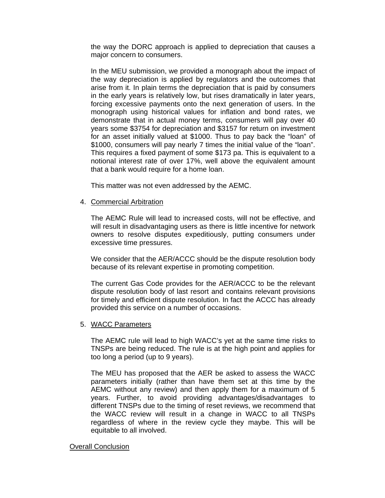the way the DORC approach is applied to depreciation that causes a major concern to consumers.

In the MEU submission, we provided a monograph about the impact of the way depreciation is applied by regulators and the outcomes that arise from it. In plain terms the depreciation that is paid by consumers in the early years is relatively low, but rises dramatically in later years, forcing excessive payments onto the next generation of users. In the monograph using historical values for inflation and bond rates, we demonstrate that in actual money terms, consumers will pay over 40 years some \$3754 for depreciation and \$3157 for return on investment for an asset initially valued at \$1000. Thus to pay back the "loan" of \$1000, consumers will pay nearly 7 times the initial value of the "loan". This requires a fixed payment of some \$173 pa. This is equivalent to a notional interest rate of over 17%, well above the equivalent amount that a bank would require for a home loan.

This matter was not even addressed by the AEMC.

## 4. Commercial Arbitration

The AEMC Rule will lead to increased costs, will not be effective, and will result in disadvantaging users as there is little incentive for network owners to resolve disputes expeditiously, putting consumers under excessive time pressures.

We consider that the AER/ACCC should be the dispute resolution body because of its relevant expertise in promoting competition.

The current Gas Code provides for the AER/ACCC to be the relevant dispute resolution body of last resort and contains relevant provisions for timely and efficient dispute resolution. In fact the ACCC has already provided this service on a number of occasions.

## 5. WACC Parameters

The AEMC rule will lead to high WACC's yet at the same time risks to TNSPs are being reduced. The rule is at the high point and applies for too long a period (up to 9 years).

The MEU has proposed that the AER be asked to assess the WACC parameters initially (rather than have them set at this time by the AEMC without any review) and then apply them for a maximum of 5 years. Further, to avoid providing advantages/disadvantages to different TNSPs due to the timing of reset reviews, we recommend that the WACC review will result in a change in WACC to all TNSPs regardless of where in the review cycle they maybe. This will be equitable to all involved.

#### Overall Conclusion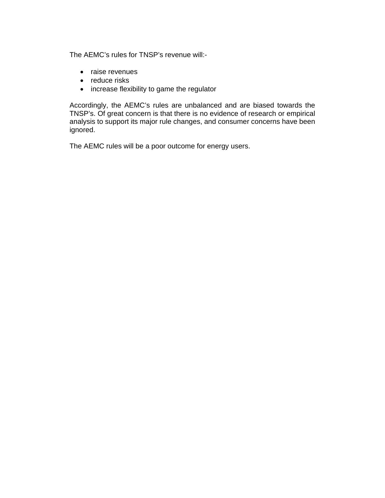The AEMC's rules for TNSP's revenue will:-

- raise revenues
- reduce risks
- increase flexibility to game the regulator

Accordingly, the AEMC's rules are unbalanced and are biased towards the TNSP's. Of great concern is that there is no evidence of research or empirical analysis to support its major rule changes, and consumer concerns have been ignored.

The AEMC rules will be a poor outcome for energy users.